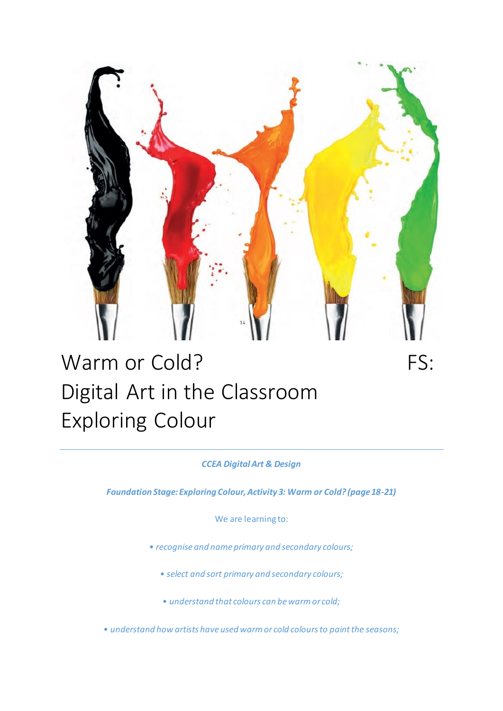

## Warm or Cold? FS: Digital Art in the Classroom Exploring Colour

## *CCEA Digital Art & Design*

*Foundation Stage: Exploring Colour, Activity 3: Warm or Cold? (page 18-21)*

We are learning to:

- *• recognise and name primary and secondary colours;* 
	- *• select and sort primary and secondary colours;*
	- *• understand that colours can be warm or cold;*

*• understand how artists have used warm or cold colours to paint the seasons;*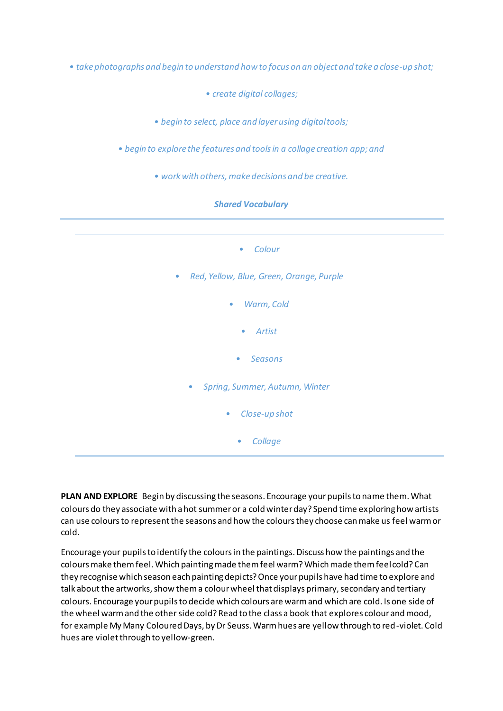*• take photographs and begin to understand how to focus on an object and take a close-up shot;* 

*• create digital collages;* 

*• begin to select, place and layer using digital tools;* 

*• begin to explore the features and tools in a collage creation app; and* 

*• work with others, make decisions and be creative.*





**PLAN AND EXPLORE** Begin by discussing the seasons. Encourage your pupils to name them. What colours do they associate with a hot summer or a cold winter day? Spend time exploring how artists can use colours to represent the seasons and how the colours they choose can make us feel warm or cold.

Encourage your pupils to identify the colours in the paintings. Discuss how the paintings and the colours make them feel. Which painting made them feel warm? Which made them feel cold? Can they recognise which season each painting depicts? Once your pupils have had time to explore and talk about the artworks, show them a colour wheel that displays primary, secondary and tertiary colours. Encourage your pupils to decide which colours are warm and which are cold. Is one side of the wheel warm and the other side cold? Read to the class a book that explores colour and mood, for example My Many Coloured Days, by Dr Seuss. Warm hues are yellow through to red-violet. Cold hues are violet through to yellow-green.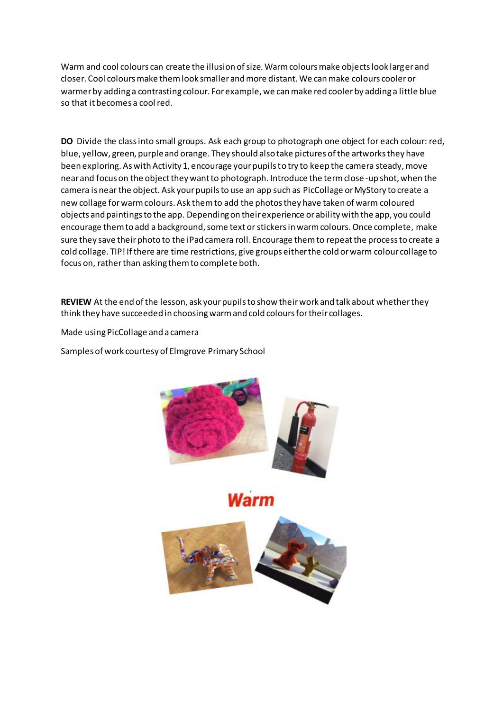Warm and cool colours can create the illusion of size. Warm colours make objects look larger and closer. Cool colours make them look smaller and more distant. We can make colours cooler or warmer by adding a contrasting colour. For example, we can make red cooler by adding a little blue so that it becomes a cool red.

**DO** Divide the class into small groups. Ask each group to photograph one object for each colour: red, blue, yellow, green, purple and orange. They should also take pictures of the artworks they have been exploring. As with Activity 1, encourage your pupils to try to keep the camera steady, move near and focus on the object they want to photograph. Introduce the term close-up shot, when the camera is near the object. Ask your pupils to use an app such as PicCollage or MyStory to create a new collage for warm colours. Ask them to add the photos they have taken of warm coloured objects and paintings to the app. Depending on their experience or ability with the app, you could encourage them to add a background, some text or stickers in warm colours. Once complete, make sure they save their photo to the iPad camera roll. Encourage them to repeat the process to create a cold collage. TIP! If there are time restrictions, give groups either the cold or warm colour collage to focus on, rather than asking them to complete both.

**REVIEW** At the end of the lesson, ask your pupils to show their work and talk about whether they think they have succeeded in choosing warm and cold colours for their collages.

Made using PicCollage and a camera

Samples of work courtesy of Elmgrove Primary School



larm

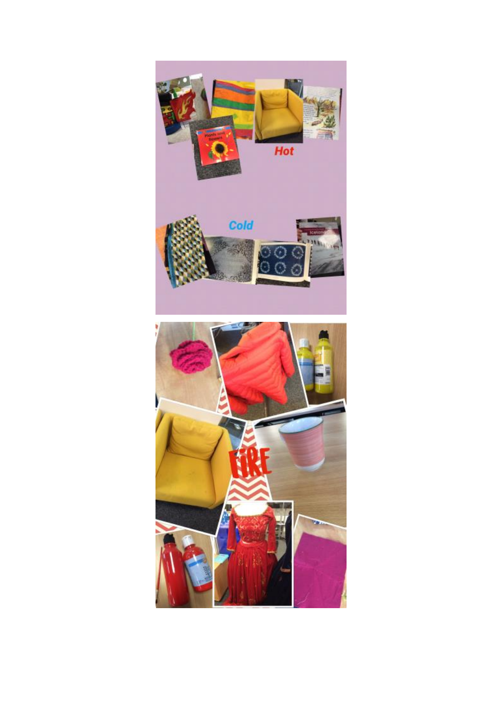